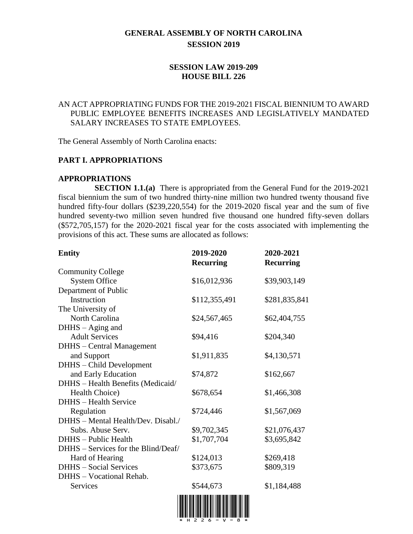# **GENERAL ASSEMBLY OF NORTH CAROLINA SESSION 2019**

## **SESSION LAW 2019-209 HOUSE BILL 226**

## AN ACT APPROPRIATING FUNDS FOR THE 2019-2021 FISCAL BIENNIUM TO AWARD PUBLIC EMPLOYEE BENEFITS INCREASES AND LEGISLATIVELY MANDATED SALARY INCREASES TO STATE EMPLOYEES.

The General Assembly of North Carolina enacts:

### **PART I. APPROPRIATIONS**

#### **APPROPRIATIONS**

**SECTION 1.1.(a)** There is appropriated from the General Fund for the 2019-2021 fiscal biennium the sum of two hundred thirty-nine million two hundred twenty thousand five hundred fifty-four dollars (\$239,220,554) for the 2019-2020 fiscal year and the sum of five hundred seventy-two million seven hundred five thousand one hundred fifty-seven dollars (\$572,705,157) for the 2020-2021 fiscal year for the costs associated with implementing the provisions of this act. These sums are allocated as follows:

| <b>Entity</b>                       | 2019-2020        | 2020-2021        |
|-------------------------------------|------------------|------------------|
|                                     | <b>Recurring</b> | <b>Recurring</b> |
| <b>Community College</b>            |                  |                  |
| <b>System Office</b>                | \$16,012,936     | \$39,903,149     |
| Department of Public                |                  |                  |
| <b>Instruction</b>                  | \$112,355,491    | \$281,835,841    |
| The University of                   |                  |                  |
| North Carolina                      | \$24,567,465     | \$62,404,755     |
| $DHHS - Aging$ and                  |                  |                  |
| <b>Adult Services</b>               | \$94,416         | \$204,340        |
| <b>DHHS</b> - Central Management    |                  |                  |
| and Support                         | \$1,911,835      | \$4,130,571      |
| DHHS - Child Development            |                  |                  |
| and Early Education                 | \$74,872         | \$162,667        |
| DHHS - Health Benefits (Medicaid/   |                  |                  |
| Health Choice)                      | \$678,654        | \$1,466,308      |
| DHHS - Health Service               |                  |                  |
| Regulation                          | \$724,446        | \$1,567,069      |
| DHHS - Mental Health/Dev. Disabl./  |                  |                  |
| Subs. Abuse Serv.                   | \$9,702,345      | \$21,076,437     |
| DHHS - Public Health                | \$1,707,704      | \$3,695,842      |
| DHHS - Services for the Blind/Deaf/ |                  |                  |
| Hard of Hearing                     | \$124,013        | \$269,418        |
| <b>DHHS</b> – Social Services       | \$373,675        | \$809,319        |
| DHHS - Vocational Rehab.            |                  |                  |
| <b>Services</b>                     | \$544,673        | \$1,184,488      |
|                                     |                  |                  |
|                                     |                  |                  |

<u>\* H226-v-8. Martin 1989, New York: 1989, New York: 1989, New York: 1989, New York: 1989, New York: 1989, New York: 1989, New York: 1989, New York: 1989, New York: 1989, New York: 1989, New York: 1989, New York: 1989, New </u>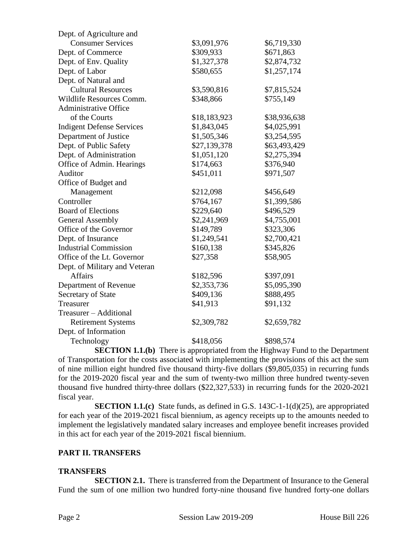| \$3,091,976  | \$6,719,330  |
|--------------|--------------|
| \$309,933    | \$671,863    |
| \$1,327,378  | \$2,874,732  |
| \$580,655    | \$1,257,174  |
|              |              |
| \$3,590,816  | \$7,815,524  |
| \$348,866    | \$755,149    |
|              |              |
| \$18,183,923 | \$38,936,638 |
| \$1,843,045  | \$4,025,991  |
| \$1,505,346  | \$3,254,595  |
| \$27,139,378 | \$63,493,429 |
| \$1,051,120  | \$2,275,394  |
| \$174,663    | \$376,940    |
| \$451,011    | \$971,507    |
|              |              |
| \$212,098    | \$456,649    |
| \$764,167    | \$1,399,586  |
| \$229,640    | \$496,529    |
| \$2,241,969  | \$4,755,001  |
| \$149,789    | \$323,306    |
| \$1,249,541  | \$2,700,421  |
| \$160,138    | \$345,826    |
| \$27,358     | \$58,905     |
|              |              |
| \$182,596    | \$397,091    |
| \$2,353,736  | \$5,095,390  |
| \$409,136    | \$888,495    |
| \$41,913     | \$91,132     |
|              |              |
| \$2,309,782  | \$2,659,782  |
|              |              |
| \$418,056    | \$898,574    |
|              |              |

**SECTION 1.1.(b)** There is appropriated from the Highway Fund to the Department of Transportation for the costs associated with implementing the provisions of this act the sum of nine million eight hundred five thousand thirty-five dollars (\$9,805,035) in recurring funds for the 2019-2020 fiscal year and the sum of twenty-two million three hundred twenty-seven thousand five hundred thirty-three dollars (\$22,327,533) in recurring funds for the 2020-2021 fiscal year.

**SECTION 1.1.(c)** State funds, as defined in G.S. 143C-1-1(d)(25), are appropriated for each year of the 2019-2021 fiscal biennium, as agency receipts up to the amounts needed to implement the legislatively mandated salary increases and employee benefit increases provided in this act for each year of the 2019-2021 fiscal biennium.

## **PART II. TRANSFERS**

### **TRANSFERS**

**SECTION 2.1.** There is transferred from the Department of Insurance to the General Fund the sum of one million two hundred forty-nine thousand five hundred forty-one dollars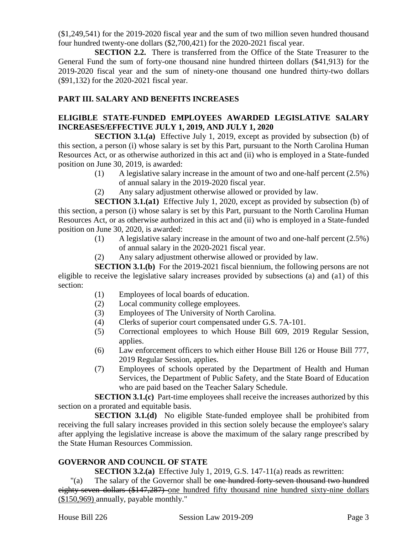(\$1,249,541) for the 2019-2020 fiscal year and the sum of two million seven hundred thousand four hundred twenty-one dollars (\$2,700,421) for the 2020-2021 fiscal year.

**SECTION 2.2.** There is transferred from the Office of the State Treasurer to the General Fund the sum of forty-one thousand nine hundred thirteen dollars (\$41,913) for the 2019-2020 fiscal year and the sum of ninety-one thousand one hundred thirty-two dollars (\$91,132) for the 2020-2021 fiscal year.

# **PART III. SALARY AND BENEFITS INCREASES**

# **ELIGIBLE STATE-FUNDED EMPLOYEES AWARDED LEGISLATIVE SALARY INCREASES/EFFECTIVE JULY 1, 2019, AND JULY 1, 2020**

**SECTION 3.1.(a)** Effective July 1, 2019, except as provided by subsection (b) of this section, a person (i) whose salary is set by this Part, pursuant to the North Carolina Human Resources Act, or as otherwise authorized in this act and (ii) who is employed in a State-funded position on June 30, 2019, is awarded:

- (1) A legislative salary increase in the amount of two and one-half percent (2.5%) of annual salary in the 2019-2020 fiscal year.
- (2) Any salary adjustment otherwise allowed or provided by law.

**SECTION 3.1.(a1)** Effective July 1, 2020, except as provided by subsection (b) of this section, a person (i) whose salary is set by this Part, pursuant to the North Carolina Human Resources Act, or as otherwise authorized in this act and (ii) who is employed in a State-funded position on June 30, 2020, is awarded:

- (1) A legislative salary increase in the amount of two and one-half percent (2.5%) of annual salary in the 2020-2021 fiscal year.
- (2) Any salary adjustment otherwise allowed or provided by law.

**SECTION 3.1.(b)** For the 2019-2021 fiscal biennium, the following persons are not eligible to receive the legislative salary increases provided by subsections (a) and (a1) of this section:

- (1) Employees of local boards of education.
- (2) Local community college employees.
- (3) Employees of The University of North Carolina.
- (4) Clerks of superior court compensated under G.S. 7A-101.
- (5) Correctional employees to which House Bill 609, 2019 Regular Session, applies.
- (6) Law enforcement officers to which either House Bill 126 or House Bill 777, 2019 Regular Session, applies.
- (7) Employees of schools operated by the Department of Health and Human Services, the Department of Public Safety, and the State Board of Education who are paid based on the Teacher Salary Schedule.

**SECTION 3.1.(c)** Part-time employees shall receive the increases authorized by this section on a prorated and equitable basis.

**SECTION 3.1.(d)** No eligible State-funded employee shall be prohibited from receiving the full salary increases provided in this section solely because the employee's salary after applying the legislative increase is above the maximum of the salary range prescribed by the State Human Resources Commission.

# **GOVERNOR AND COUNCIL OF STATE**

**SECTION 3.2.(a)** Effective July 1, 2019, G.S. 147-11(a) reads as rewritten:

"(a) The salary of the Governor shall be <del>one hundred forty-seven thousand two hundred</del> eighty-seven dollars (\$147,287) one hundred fifty thousand nine hundred sixty-nine dollars (\$150,969) annually, payable monthly."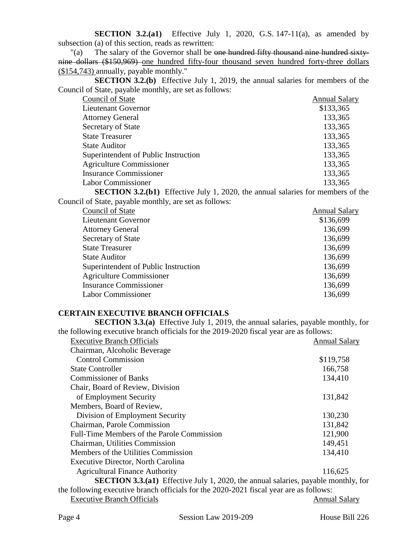**SECTION 3.2.(a1)** Effective July 1, 2020, G.S. 147-11(a), as amended by subsection (a) of this section, reads as rewritten:

"(a) The salary of the Governor shall be one hundred fifty thousand nine hundred sixtynine dollars (\$150,969) one hundred fifty-four thousand seven hundred forty-three dollars (\$154,743) annually, payable monthly."

**SECTION 3.2.(b)** Effective July 1, 2019, the annual salaries for members of the Council of State, payable monthly, are set as follows:

| Council of State                     | <b>Annual Salary</b> |
|--------------------------------------|----------------------|
| <b>Lieutenant Governor</b>           | \$133,365            |
| <b>Attorney General</b>              | 133,365              |
| Secretary of State                   | 133,365              |
| <b>State Treasurer</b>               | 133,365              |
| <b>State Auditor</b>                 | 133,365              |
| Superintendent of Public Instruction | 133,365              |
| <b>Agriculture Commissioner</b>      | 133,365              |
| <b>Insurance Commissioner</b>        | 133,365              |
| Labor Commissioner                   | 133,365              |

**SECTION 3.2.(b1)** Effective July 1, 2020, the annual salaries for members of the Council of State, payable monthly, are set as follows:

| <b>Annual Salary</b> |
|----------------------|
| \$136,699            |
| 136,699              |
| 136,699              |
| 136,699              |
| 136,699              |
| 136,699              |
| 136,699              |
| 136,699              |
| 136,699              |
|                      |

### **CERTAIN EXECUTIVE BRANCH OFFICIALS**

**SECTION 3.3.(a)** Effective July 1, 2019, the annual salaries, payable monthly, for the following executive branch officials for the 2019-2020 fiscal year are as follows:

| the following executive branch officials for the 2017-2020 fiscal year are as follows.    |               |
|-------------------------------------------------------------------------------------------|---------------|
| <b>Executive Branch Officials</b>                                                         | Annual Salary |
| Chairman, Alcoholic Beverage                                                              |               |
| <b>Control Commission</b>                                                                 | \$119,758     |
| <b>State Controller</b>                                                                   | 166,758       |
| <b>Commissioner of Banks</b>                                                              | 134,410       |
| Chair, Board of Review, Division                                                          |               |
| of Employment Security                                                                    | 131,842       |
| Members, Board of Review,                                                                 |               |
| Division of Employment Security                                                           | 130,230       |
| Chairman, Parole Commission                                                               | 131,842       |
| Full-Time Members of the Parole Commission                                                | 121,900       |
| Chairman, Utilities Commission                                                            | 149,451       |
| Members of the Utilities Commission                                                       | 134,410       |
| Executive Director, North Carolina                                                        |               |
| <b>Agricultural Finance Authority</b>                                                     | 116,625       |
| <b>SECTION 3.3.(a1)</b> Effective July 1, 2020, the annual salaries, payable monthly, for |               |
| the following executive branch officials for the 2020-2021 fiscal year are as follows:    |               |
| <b>Executive Branch Officials</b>                                                         | Annual Salary |
|                                                                                           |               |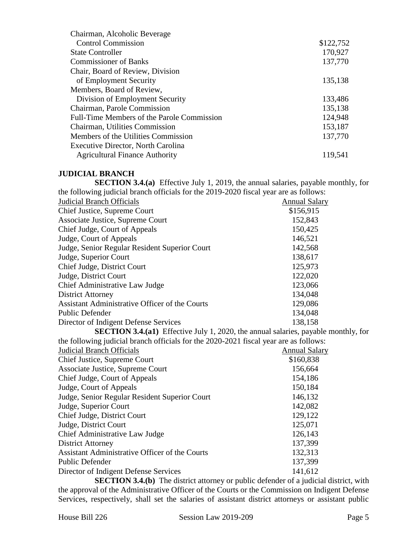| Chairman, Alcoholic Beverage               |           |
|--------------------------------------------|-----------|
| <b>Control Commission</b>                  | \$122,752 |
| <b>State Controller</b>                    | 170,927   |
| <b>Commissioner of Banks</b>               | 137,770   |
| Chair, Board of Review, Division           |           |
| of Employment Security                     | 135,138   |
| Members, Board of Review,                  |           |
| Division of Employment Security            | 133,486   |
| Chairman, Parole Commission                | 135,138   |
| Full-Time Members of the Parole Commission | 124,948   |
| Chairman, Utilities Commission             | 153,187   |
| Members of the Utilities Commission        | 137,770   |
| Executive Director, North Carolina         |           |
| <b>Agricultural Finance Authority</b>      | 119,541   |

#### **JUDICIAL BRANCH**

**SECTION 3.4.(a)** Effective July 1, 2019, the annual salaries, payable monthly, for the following judicial branch officials for the 2019-2020 fiscal year are as follows:

| $\frac{1}{2}$ and $\frac{1}{2}$ and $\frac{1}{2}$ and $\frac{1}{2}$ and $\frac{1}{2}$ and $\frac{1}{2}$ and $\frac{1}{2}$ and $\frac{1}{2}$ and $\frac{1}{2}$ and $\frac{1}{2}$ |                      |
|---------------------------------------------------------------------------------------------------------------------------------------------------------------------------------|----------------------|
| <b>Judicial Branch Officials</b>                                                                                                                                                | <b>Annual Salary</b> |
| Chief Justice, Supreme Court                                                                                                                                                    | \$156,915            |
| Associate Justice, Supreme Court                                                                                                                                                | 152,843              |
| Chief Judge, Court of Appeals                                                                                                                                                   | 150,425              |
| Judge, Court of Appeals                                                                                                                                                         | 146,521              |
| Judge, Senior Regular Resident Superior Court                                                                                                                                   | 142,568              |
| Judge, Superior Court                                                                                                                                                           | 138,617              |
| Chief Judge, District Court                                                                                                                                                     | 125,973              |
| Judge, District Court                                                                                                                                                           | 122,020              |
| Chief Administrative Law Judge                                                                                                                                                  | 123,066              |
| <b>District Attorney</b>                                                                                                                                                        | 134,048              |
| Assistant Administrative Officer of the Courts                                                                                                                                  | 129,086              |
| <b>Public Defender</b>                                                                                                                                                          | 134,048              |
| Director of Indigent Defense Services                                                                                                                                           | 138,158              |

**SECTION 3.4.(a1)** Effective July 1, 2020, the annual salaries, payable monthly, for the following judicial branch officials for the 2020-2021 fiscal year are as follows:

| <b>Judicial Branch Officials</b>               | <b>Annual Salary</b> |
|------------------------------------------------|----------------------|
| Chief Justice, Supreme Court                   | \$160,838            |
| Associate Justice, Supreme Court               | 156,664              |
| Chief Judge, Court of Appeals                  | 154,186              |
| Judge, Court of Appeals                        | 150,184              |
| Judge, Senior Regular Resident Superior Court  | 146,132              |
| Judge, Superior Court                          | 142,082              |
| Chief Judge, District Court                    | 129,122              |
| Judge, District Court                          | 125,071              |
| Chief Administrative Law Judge                 | 126,143              |
| <b>District Attorney</b>                       | 137,399              |
| Assistant Administrative Officer of the Courts | 132,313              |
| <b>Public Defender</b>                         | 137,399              |
| Director of Indigent Defense Services          | 141,612              |

**SECTION 3.4.(b)** The district attorney or public defender of a judicial district, with the approval of the Administrative Officer of the Courts or the Commission on Indigent Defense Services, respectively, shall set the salaries of assistant district attorneys or assistant public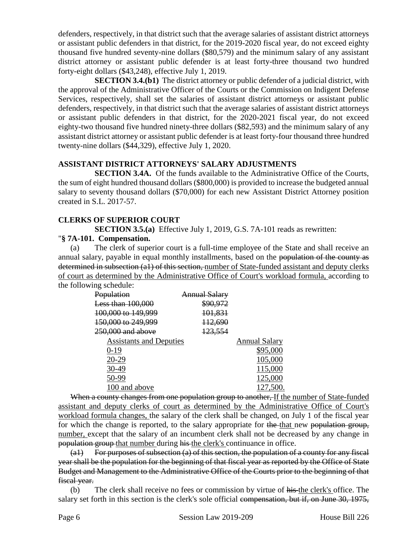defenders, respectively, in that district such that the average salaries of assistant district attorneys or assistant public defenders in that district, for the 2019-2020 fiscal year, do not exceed eighty thousand five hundred seventy-nine dollars (\$80,579) and the minimum salary of any assistant district attorney or assistant public defender is at least forty-three thousand two hundred forty-eight dollars (\$43,248), effective July 1, 2019.

**SECTION 3.4.(b1)** The district attorney or public defender of a judicial district, with the approval of the Administrative Officer of the Courts or the Commission on Indigent Defense Services, respectively, shall set the salaries of assistant district attorneys or assistant public defenders, respectively, in that district such that the average salaries of assistant district attorneys or assistant public defenders in that district, for the 2020-2021 fiscal year, do not exceed eighty-two thousand five hundred ninety-three dollars (\$82,593) and the minimum salary of any assistant district attorney or assistant public defender is at least forty-four thousand three hundred twenty-nine dollars (\$44,329), effective July 1, 2020.

# **ASSISTANT DISTRICT ATTORNEYS' SALARY ADJUSTMENTS**

**SECTION 3.4A.** Of the funds available to the Administrative Office of the Courts, the sum of eight hundred thousand dollars (\$800,000) is provided to increase the budgeted annual salary to seventy thousand dollars (\$70,000) for each new Assistant District Attorney position created in S.L. 2017-57.

# **CLERKS OF SUPERIOR COURT**

**SECTION 3.5.(a)** Effective July 1, 2019, G.S. 7A-101 reads as rewritten:

## "**§ 7A-101. Compensation.**

(a) The clerk of superior court is a full-time employee of the State and shall receive an annual salary, payable in equal monthly installments, based on the population of the county as determined in subsection (a1) of this section, number of State-funded assistant and deputy clerks of court as determined by the Administrative Office of Court's workload formula, according to the following schedule:

| Population                     | <b>Annual Salary</b> |                      |
|--------------------------------|----------------------|----------------------|
| Less than 100,000              | <del>\$90,972</del>  |                      |
| 100,000 to 149,999             | 101,831              |                      |
| <del>150,000 to 249,999</del>  | 112,690              |                      |
| <del>250,000 and above</del>   | 123,554              |                      |
| <b>Assistants and Deputies</b> |                      | <b>Annual Salary</b> |
| $0-19$                         |                      | \$95,000             |
| 20-29                          |                      | 105,000              |
| 30-49                          |                      | 115,000              |
| 50-99                          |                      | 125,000              |
| 100 and above                  |                      | 127,500.             |

When a county changes from one population group to another, If the number of State-funded assistant and deputy clerks of court as determined by the Administrative Office of Court's workload formula changes, the salary of the clerk shall be changed, on July 1 of the fiscal year for which the change is reported, to the salary appropriate for the that new population group, number, except that the salary of an incumbent clerk shall not be decreased by any change in population group that number during his the clerk's continuance in office.

 $(a)$  For purposes of subsection  $(a)$  of this section, the population of a county for any fiscal year shall be the population for the beginning of that fiscal year as reported by the Office of State Budget and Management to the Administrative Office of the Courts prior to the beginning of that fiscal year.

(b) The clerk shall receive no fees or commission by virtue of his the clerk's office. The salary set forth in this section is the clerk's sole official compensation, but if, on June 30, 1975,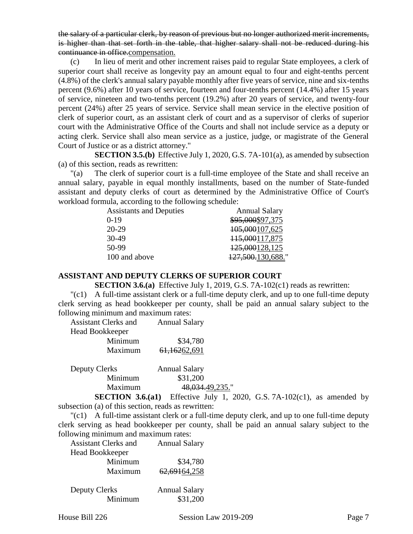the salary of a particular clerk, by reason of previous but no longer authorized merit increments, is higher than that set forth in the table, that higher salary shall not be reduced during his continuance in office.compensation.

(c) In lieu of merit and other increment raises paid to regular State employees, a clerk of superior court shall receive as longevity pay an amount equal to four and eight-tenths percent (4.8%) of the clerk's annual salary payable monthly after five years of service, nine and six-tenths percent (9.6%) after 10 years of service, fourteen and four-tenths percent (14.4%) after 15 years of service, nineteen and two-tenths percent (19.2%) after 20 years of service, and twenty-four percent (24%) after 25 years of service. Service shall mean service in the elective position of clerk of superior court, as an assistant clerk of court and as a supervisor of clerks of superior court with the Administrative Office of the Courts and shall not include service as a deputy or acting clerk. Service shall also mean service as a justice, judge, or magistrate of the General Court of Justice or as a district attorney."

**SECTION 3.5.(b)** Effective July 1, 2020, G.S. 7A-101(a), as amended by subsection (a) of this section, reads as rewritten:

"(a) The clerk of superior court is a full-time employee of the State and shall receive an annual salary, payable in equal monthly installments, based on the number of State-funded assistant and deputy clerks of court as determined by the Administrative Office of Court's workload formula, according to the following schedule:

| <b>Assistants and Deputies</b> | <b>Annual Salary</b> |
|--------------------------------|----------------------|
| $0-19$                         | \$95,000\$97,375     |
| $20-29$                        | 105,000107,625       |
| $30-49$                        | 115,000117,875       |
| 50-99                          | 125,000128,125       |
| 100 and above                  | 127,500.130,688."    |

### **ASSISTANT AND DEPUTY CLERKS OF SUPERIOR COURT**

**SECTION 3.6.(a)** Effective July 1, 2019, G.S. 7A-102(c1) reads as rewritten:

 $\lceil (c_1) \rceil$  A full-time assistant clerk or a full-time deputy clerk, and up to one full-time deputy clerk serving as head bookkeeper per county, shall be paid an annual salary subject to the following minimum and maximum rates:

| <b>Assistant Clerks and</b> | <b>Annual Salary</b> |
|-----------------------------|----------------------|
| <b>Head Bookkeeper</b>      |                      |
| Minimum                     | \$34,780             |
| Maximum                     | 61,16262,691         |

| <b>Deputy Clerks</b>                                                                                                                                                                                                                                                                                                                                                                                                      | <b>Annual Salary</b> |
|---------------------------------------------------------------------------------------------------------------------------------------------------------------------------------------------------------------------------------------------------------------------------------------------------------------------------------------------------------------------------------------------------------------------------|----------------------|
| Minimum                                                                                                                                                                                                                                                                                                                                                                                                                   | \$31,200             |
| Maximum                                                                                                                                                                                                                                                                                                                                                                                                                   | 48,034.49,235."      |
| $C_{\text{L}} C_{\text{L}} C_{\text{L}} C_{\text{L}} C_{\text{L}} C_{\text{L}} C_{\text{L}} C_{\text{L}} C_{\text{L}} C_{\text{L}} C_{\text{L}} C_{\text{L}} C_{\text{L}} C_{\text{L}} C_{\text{L}} C_{\text{L}} C_{\text{L}} C_{\text{L}} C_{\text{L}} C_{\text{L}} C_{\text{L}} C_{\text{L}} C_{\text{L}} C_{\text{L}} C_{\text{L}} C_{\text{L}} C_{\text{L}} C_{\text{L}} C_{\text{L}} C_{\text{L}} C_{\text{L}} C_{\$ |                      |

**SECTION 3.6.(a1)** Effective July 1, 2020, G.S. 7A-102(c1), as amended by subsection (a) of this section, reads as rewritten:

 $\lceil (c_1) \rceil$  A full-time assistant clerk or a full-time deputy clerk, and up to one full-time deputy clerk serving as head bookkeeper per county, shall be paid an annual salary subject to the following minimum and maximum rates:

| <b>Assistant Clerks and</b> | <b>Annual Salary</b> |
|-----------------------------|----------------------|
| Head Bookkeeper             |                      |
| Minimum                     | \$34,780             |
| Maximum                     | 62,69164,258         |
| Deputy Clerks               | <b>Annual Salary</b> |
| Minimum                     | \$31,200             |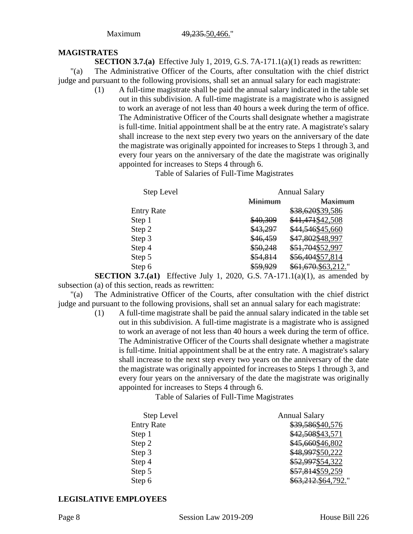Maximum 49,235,50,466."

## **MAGISTRATES**

**SECTION 3.7.(a)** Effective July 1, 2019, G.S. 7A-171.1(a)(1) reads as rewritten: "(a) The Administrative Officer of the Courts, after consultation with the chief district judge and pursuant to the following provisions, shall set an annual salary for each magistrate:

> (1) A full-time magistrate shall be paid the annual salary indicated in the table set out in this subdivision. A full-time magistrate is a magistrate who is assigned to work an average of not less than 40 hours a week during the term of office. The Administrative Officer of the Courts shall designate whether a magistrate is full-time. Initial appointment shall be at the entry rate. A magistrate's salary shall increase to the next step every two years on the anniversary of the date the magistrate was originally appointed for increases to Steps 1 through 3, and every four years on the anniversary of the date the magistrate was originally appointed for increases to Steps 4 through 6.

> > Table of Salaries of Full-Time Magistrates

| Step Level        | <b>Annual Salary</b> |                       |  |  |
|-------------------|----------------------|-----------------------|--|--|
|                   | <b>Minimum</b>       | <b>Maximum</b>        |  |  |
| <b>Entry Rate</b> |                      | \$38,620\$39,586      |  |  |
| Step 1            | \$40,309             | \$41,471\$42,508      |  |  |
| Step 2            | \$43,297             | \$44,546\$45,660      |  |  |
| Step 3            | \$46,459             | \$47,802\$48.997      |  |  |
| Step 4            | \$50,248             | \$51,704\$52,997      |  |  |
| Step 5            | \$54,814             | \$56,404\$57,814      |  |  |
| Step 6            | <b>\$50.070</b>      | \$61,670. \$63, 212." |  |  |

**SECTION 3.7.(a1)** Effective July 1, 2020, G.S. 7A-171.1(a)(1), as amended by subsection (a) of this section, reads as rewritten:

"(a) The Administrative Officer of the Courts, after consultation with the chief district judge and pursuant to the following provisions, shall set an annual salary for each magistrate:

(1) A full-time magistrate shall be paid the annual salary indicated in the table set out in this subdivision. A full-time magistrate is a magistrate who is assigned to work an average of not less than 40 hours a week during the term of office. The Administrative Officer of the Courts shall designate whether a magistrate is full-time. Initial appointment shall be at the entry rate. A magistrate's salary shall increase to the next step every two years on the anniversary of the date the magistrate was originally appointed for increases to Steps 1 through 3, and every four years on the anniversary of the date the magistrate was originally appointed for increases to Steps 4 through 6.

Table of Salaries of Full-Time Magistrates

| Entry Rate | <b>Annual Salary</b> |  |  |
|------------|----------------------|--|--|
|            | \$39,586\$40,576     |  |  |
| Step 1     | \$42,508\$43,571     |  |  |
| Step 2     | \$45,660\$46,802     |  |  |
| Step 3     | \$48,997\$50,222     |  |  |
| Step 4     | \$52,997\$54,322     |  |  |
| Step 5     | \$57,814\$59,259     |  |  |
| Step 6     | \$63,212.\$64,792."  |  |  |

## **LEGISLATIVE EMPLOYEES**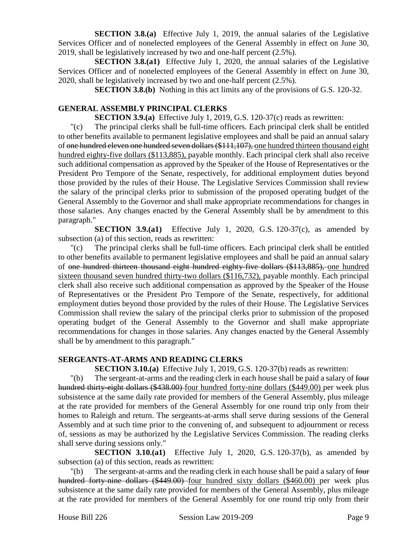**SECTION 3.8.(a)** Effective July 1, 2019, the annual salaries of the Legislative Services Officer and of nonelected employees of the General Assembly in effect on June 30, 2019, shall be legislatively increased by two and one-half percent (2.5%).

**SECTION 3.8.(a1)** Effective July 1, 2020, the annual salaries of the Legislative Services Officer and of nonelected employees of the General Assembly in effect on June 30, 2020, shall be legislatively increased by two and one-half percent (2.5%).

**SECTION 3.8.(b)** Nothing in this act limits any of the provisions of G.S. 120-32.

## **GENERAL ASSEMBLY PRINCIPAL CLERKS**

**SECTION 3.9.(a)** Effective July 1, 2019, G.S. 120-37(c) reads as rewritten:

"(c) The principal clerks shall be full-time officers. Each principal clerk shall be entitled to other benefits available to permanent legislative employees and shall be paid an annual salary of one hundred eleven one hundred seven dollars (\$111,107), one hundred thirteen thousand eight hundred eighty-five dollars (\$113,885), payable monthly. Each principal clerk shall also receive such additional compensation as approved by the Speaker of the House of Representatives or the President Pro Tempore of the Senate, respectively, for additional employment duties beyond those provided by the rules of their House. The Legislative Services Commission shall review the salary of the principal clerks prior to submission of the proposed operating budget of the General Assembly to the Governor and shall make appropriate recommendations for changes in those salaries. Any changes enacted by the General Assembly shall be by amendment to this paragraph."

**SECTION 3.9.(a1)** Effective July 1, 2020, G.S. 120-37(c), as amended by subsection (a) of this section, reads as rewritten:

"(c) The principal clerks shall be full-time officers. Each principal clerk shall be entitled to other benefits available to permanent legislative employees and shall be paid an annual salary of one hundred thirteen thousand eight hundred eighty-five dollars (\$113,885), one hundred sixteen thousand seven hundred thirty-two dollars (\$116,732), payable monthly. Each principal clerk shall also receive such additional compensation as approved by the Speaker of the House of Representatives or the President Pro Tempore of the Senate, respectively, for additional employment duties beyond those provided by the rules of their House. The Legislative Services Commission shall review the salary of the principal clerks prior to submission of the proposed operating budget of the General Assembly to the Governor and shall make appropriate recommendations for changes in those salaries. Any changes enacted by the General Assembly shall be by amendment to this paragraph."

### **SERGEANTS-AT-ARMS AND READING CLERKS**

**SECTION 3.10.(a)** Effective July 1, 2019, G.S. 120-37(b) reads as rewritten:

"(b) The sergeant-at-arms and the reading clerk in each house shall be paid a salary of four hundred thirty-eight dollars (\$438.00) four hundred forty-nine dollars (\$449.00) per week plus subsistence at the same daily rate provided for members of the General Assembly, plus mileage at the rate provided for members of the General Assembly for one round trip only from their homes to Raleigh and return. The sergeants-at-arms shall serve during sessions of the General Assembly and at such time prior to the convening of, and subsequent to adjournment or recess of, sessions as may be authorized by the Legislative Services Commission. The reading clerks shall serve during sessions only."

**SECTION 3.10.(a1)** Effective July 1, 2020, G.S. 120-37(b), as amended by subsection (a) of this section, reads as rewritten:

"(b) The sergeant-at-arms and the reading clerk in each house shall be paid a salary of four hundred forty-nine dollars (\$449.00) four hundred sixty dollars (\$460.00) per week plus subsistence at the same daily rate provided for members of the General Assembly, plus mileage at the rate provided for members of the General Assembly for one round trip only from their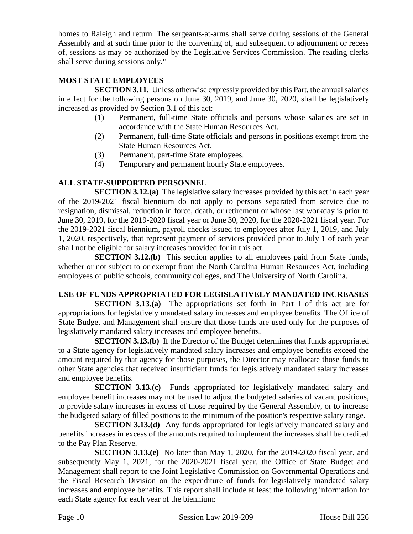homes to Raleigh and return. The sergeants-at-arms shall serve during sessions of the General Assembly and at such time prior to the convening of, and subsequent to adjournment or recess of, sessions as may be authorized by the Legislative Services Commission. The reading clerks shall serve during sessions only."

# **MOST STATE EMPLOYEES**

**SECTION 3.11.** Unless otherwise expressly provided by this Part, the annual salaries in effect for the following persons on June 30, 2019, and June 30, 2020, shall be legislatively increased as provided by Section 3.1 of this act:

- (1) Permanent, full-time State officials and persons whose salaries are set in accordance with the State Human Resources Act.
- (2) Permanent, full-time State officials and persons in positions exempt from the State Human Resources Act.
- (3) Permanent, part-time State employees.
- (4) Temporary and permanent hourly State employees.

# **ALL STATE-SUPPORTED PERSONNEL**

**SECTION 3.12.(a)** The legislative salary increases provided by this act in each year of the 2019-2021 fiscal biennium do not apply to persons separated from service due to resignation, dismissal, reduction in force, death, or retirement or whose last workday is prior to June 30, 2019, for the 2019-2020 fiscal year or June 30, 2020, for the 2020-2021 fiscal year. For the 2019-2021 fiscal biennium, payroll checks issued to employees after July 1, 2019, and July 1, 2020, respectively, that represent payment of services provided prior to July 1 of each year shall not be eligible for salary increases provided for in this act.

**SECTION 3.12.(b)** This section applies to all employees paid from State funds, whether or not subject to or exempt from the North Carolina Human Resources Act, including employees of public schools, community colleges, and The University of North Carolina.

# **USE OF FUNDS APPROPRIATED FOR LEGISLATIVELY MANDATED INCREASES**

**SECTION 3.13.(a)** The appropriations set forth in Part I of this act are for appropriations for legislatively mandated salary increases and employee benefits. The Office of State Budget and Management shall ensure that those funds are used only for the purposes of legislatively mandated salary increases and employee benefits.

**SECTION 3.13.(b)** If the Director of the Budget determines that funds appropriated to a State agency for legislatively mandated salary increases and employee benefits exceed the amount required by that agency for those purposes, the Director may reallocate those funds to other State agencies that received insufficient funds for legislatively mandated salary increases and employee benefits.

**SECTION 3.13.(c)** Funds appropriated for legislatively mandated salary and employee benefit increases may not be used to adjust the budgeted salaries of vacant positions, to provide salary increases in excess of those required by the General Assembly, or to increase the budgeted salary of filled positions to the minimum of the position's respective salary range.

**SECTION 3.13.(d)** Any funds appropriated for legislatively mandated salary and benefits increases in excess of the amounts required to implement the increases shall be credited to the Pay Plan Reserve.

**SECTION 3.13.(e)** No later than May 1, 2020, for the 2019-2020 fiscal year, and subsequently May 1, 2021, for the 2020-2021 fiscal year, the Office of State Budget and Management shall report to the Joint Legislative Commission on Governmental Operations and the Fiscal Research Division on the expenditure of funds for legislatively mandated salary increases and employee benefits. This report shall include at least the following information for each State agency for each year of the biennium: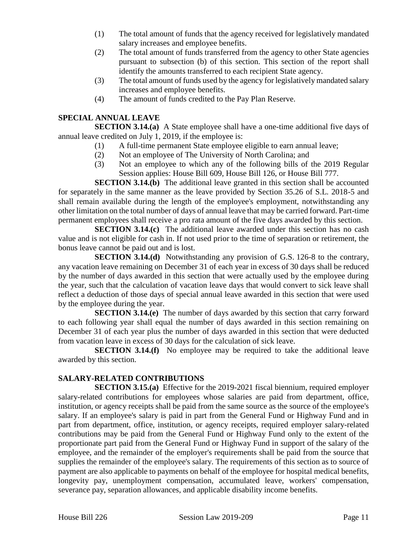- (1) The total amount of funds that the agency received for legislatively mandated salary increases and employee benefits.
- (2) The total amount of funds transferred from the agency to other State agencies pursuant to subsection (b) of this section. This section of the report shall identify the amounts transferred to each recipient State agency.
- (3) The total amount of funds used by the agency for legislatively mandated salary increases and employee benefits.
- (4) The amount of funds credited to the Pay Plan Reserve.

## **SPECIAL ANNUAL LEAVE**

**SECTION 3.14.(a)** A State employee shall have a one-time additional five days of annual leave credited on July 1, 2019, if the employee is:

- (1) A full-time permanent State employee eligible to earn annual leave;
- (2) Not an employee of The University of North Carolina; and
- (3) Not an employee to which any of the following bills of the 2019 Regular Session applies: House Bill 609, House Bill 126, or House Bill 777.

**SECTION 3.14.(b)** The additional leave granted in this section shall be accounted for separately in the same manner as the leave provided by Section 35.26 of S.L. 2018-5 and shall remain available during the length of the employee's employment, notwithstanding any other limitation on the total number of days of annual leave that may be carried forward. Part-time permanent employees shall receive a pro rata amount of the five days awarded by this section.

**SECTION 3.14.(c)** The additional leave awarded under this section has no cash value and is not eligible for cash in. If not used prior to the time of separation or retirement, the bonus leave cannot be paid out and is lost.

**SECTION 3.14.(d)** Notwithstanding any provision of G.S. 126-8 to the contrary, any vacation leave remaining on December 31 of each year in excess of 30 days shall be reduced by the number of days awarded in this section that were actually used by the employee during the year, such that the calculation of vacation leave days that would convert to sick leave shall reflect a deduction of those days of special annual leave awarded in this section that were used by the employee during the year.

**SECTION 3.14.(e)** The number of days awarded by this section that carry forward to each following year shall equal the number of days awarded in this section remaining on December 31 of each year plus the number of days awarded in this section that were deducted from vacation leave in excess of 30 days for the calculation of sick leave.

**SECTION 3.14.(f)** No employee may be required to take the additional leave awarded by this section.

## **SALARY-RELATED CONTRIBUTIONS**

**SECTION 3.15.(a)** Effective for the 2019-2021 fiscal biennium, required employer salary-related contributions for employees whose salaries are paid from department, office, institution, or agency receipts shall be paid from the same source as the source of the employee's salary. If an employee's salary is paid in part from the General Fund or Highway Fund and in part from department, office, institution, or agency receipts, required employer salary-related contributions may be paid from the General Fund or Highway Fund only to the extent of the proportionate part paid from the General Fund or Highway Fund in support of the salary of the employee, and the remainder of the employer's requirements shall be paid from the source that supplies the remainder of the employee's salary. The requirements of this section as to source of payment are also applicable to payments on behalf of the employee for hospital medical benefits, longevity pay, unemployment compensation, accumulated leave, workers' compensation, severance pay, separation allowances, and applicable disability income benefits.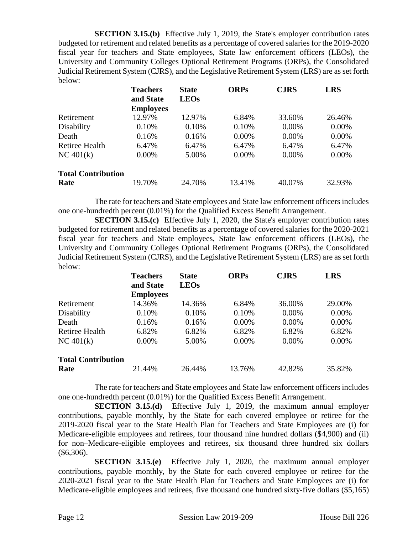**SECTION 3.15.(b)** Effective July 1, 2019, the State's employer contribution rates budgeted for retirement and related benefits as a percentage of covered salaries for the 2019-2020 fiscal year for teachers and State employees, State law enforcement officers (LEOs), the University and Community Colleges Optional Retirement Programs (ORPs), the Consolidated Judicial Retirement System (CJRS), and the Legislative Retirement System (LRS) are as set forth below:

|                           | <b>Teachers</b><br>and State<br><b>Employees</b> | <b>State</b><br><b>LEOs</b> | <b>ORPs</b> | <b>CJRS</b> | <b>LRS</b> |
|---------------------------|--------------------------------------------------|-----------------------------|-------------|-------------|------------|
| Retirement                | 12.97%                                           | 12.97%                      | 6.84%       | 33.60%      | 26.46%     |
| Disability                | 0.10%                                            | 0.10%                       | 0.10%       | 0.00%       | $0.00\%$   |
| Death                     | 0.16%                                            | 0.16%                       | 0.00%       | 0.00%       | 0.00%      |
| <b>Retiree Health</b>     | 6.47%                                            | 6.47%                       | 6.47%       | 6.47%       | 6.47%      |
| NC $401(k)$               | 0.00%                                            | 5.00%                       | 0.00%       | 0.00%       | $0.00\%$   |
| <b>Total Contribution</b> |                                                  |                             |             |             |            |
| Rate                      | 19.70%                                           | 24.70%                      | 13.41%      | 40.07%      | 32.93%     |

The rate for teachers and State employees and State law enforcement officers includes one one-hundredth percent (0.01%) for the Qualified Excess Benefit Arrangement.

**SECTION 3.15.(c)** Effective July 1, 2020, the State's employer contribution rates budgeted for retirement and related benefits as a percentage of covered salaries for the 2020-2021 fiscal year for teachers and State employees, State law enforcement officers (LEOs), the University and Community Colleges Optional Retirement Programs (ORPs), the Consolidated Judicial Retirement System (CJRS), and the Legislative Retirement System (LRS) are as set forth below:

|                           | <b>Teachers</b><br>and State<br><b>Employees</b> | <b>State</b><br><b>LEOs</b> | <b>ORPs</b> | <b>CJRS</b> | <b>LRS</b> |
|---------------------------|--------------------------------------------------|-----------------------------|-------------|-------------|------------|
| Retirement                | 14.36%                                           | 14.36%                      | 6.84%       | 36.00%      | 29.00%     |
| Disability                | 0.10%                                            | 0.10%                       | 0.10%       | 0.00%       | 0.00%      |
| Death                     | 0.16%                                            | 0.16%                       | 0.00%       | 0.00%       | 0.00%      |
| <b>Retiree Health</b>     | 6.82%                                            | 6.82%                       | 6.82%       | 6.82%       | 6.82%      |
| NC 401(k)                 | 0.00%                                            | 5.00%                       | $0.00\%$    | $0.00\%$    | 0.00%      |
| <b>Total Contribution</b> |                                                  |                             |             |             |            |
| Rate                      | 21.44%                                           | 26.44%                      | 13.76%      | 42.82%      | 35.82%     |

The rate for teachers and State employees and State law enforcement officers includes one one-hundredth percent (0.01%) for the Qualified Excess Benefit Arrangement.

**SECTION 3.15.(d)** Effective July 1, 2019, the maximum annual employer contributions, payable monthly, by the State for each covered employee or retiree for the 2019-2020 fiscal year to the State Health Plan for Teachers and State Employees are (i) for Medicare-eligible employees and retirees, four thousand nine hundred dollars (\$4,900) and (ii) for non–Medicare-eligible employees and retirees, six thousand three hundred six dollars (\$6,306).

**SECTION 3.15.(e)** Effective July 1, 2020, the maximum annual employer contributions, payable monthly, by the State for each covered employee or retiree for the 2020-2021 fiscal year to the State Health Plan for Teachers and State Employees are (i) for Medicare-eligible employees and retirees, five thousand one hundred sixty-five dollars (\$5,165)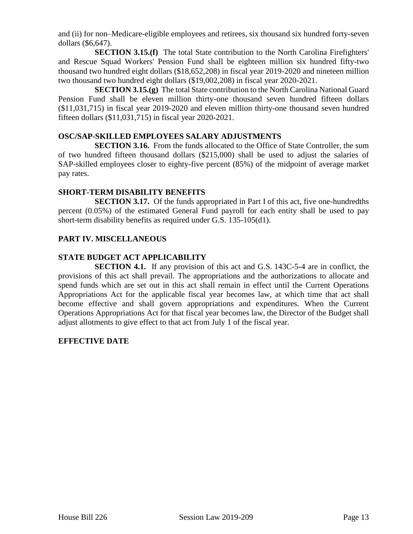and (ii) for non–Medicare-eligible employees and retirees, six thousand six hundred forty-seven dollars (\$6,647).

**SECTION 3.15.(f)** The total State contribution to the North Carolina Firefighters' and Rescue Squad Workers' Pension Fund shall be eighteen million six hundred fifty-two thousand two hundred eight dollars (\$18,652,208) in fiscal year 2019-2020 and nineteen million two thousand two hundred eight dollars (\$19,002,208) in fiscal year 2020-2021.

**SECTION 3.15.(g)** The total State contribution to the North Carolina National Guard Pension Fund shall be eleven million thirty-one thousand seven hundred fifteen dollars (\$11,031,715) in fiscal year 2019-2020 and eleven million thirty-one thousand seven hundred fifteen dollars (\$11,031,715) in fiscal year 2020-2021.

### **OSC/SAP-SKILLED EMPLOYEES SALARY ADJUSTMENTS**

**SECTION 3.16.** From the funds allocated to the Office of State Controller, the sum of two hundred fifteen thousand dollars (\$215,000) shall be used to adjust the salaries of SAP-skilled employees closer to eighty-five percent (85%) of the midpoint of average market pay rates.

## **SHORT-TERM DISABILITY BENEFITS**

**SECTION 3.17.** Of the funds appropriated in Part I of this act, five one-hundredths percent (0.05%) of the estimated General Fund payroll for each entity shall be used to pay short-term disability benefits as required under G.S. 135-105(d1).

## **PART IV. MISCELLANEOUS**

## **STATE BUDGET ACT APPLICABILITY**

**SECTION 4.1.** If any provision of this act and G.S. 143C-5-4 are in conflict, the provisions of this act shall prevail. The appropriations and the authorizations to allocate and spend funds which are set out in this act shall remain in effect until the Current Operations Appropriations Act for the applicable fiscal year becomes law, at which time that act shall become effective and shall govern appropriations and expenditures. When the Current Operations Appropriations Act for that fiscal year becomes law, the Director of the Budget shall adjust allotments to give effect to that act from July 1 of the fiscal year.

### **EFFECTIVE DATE**